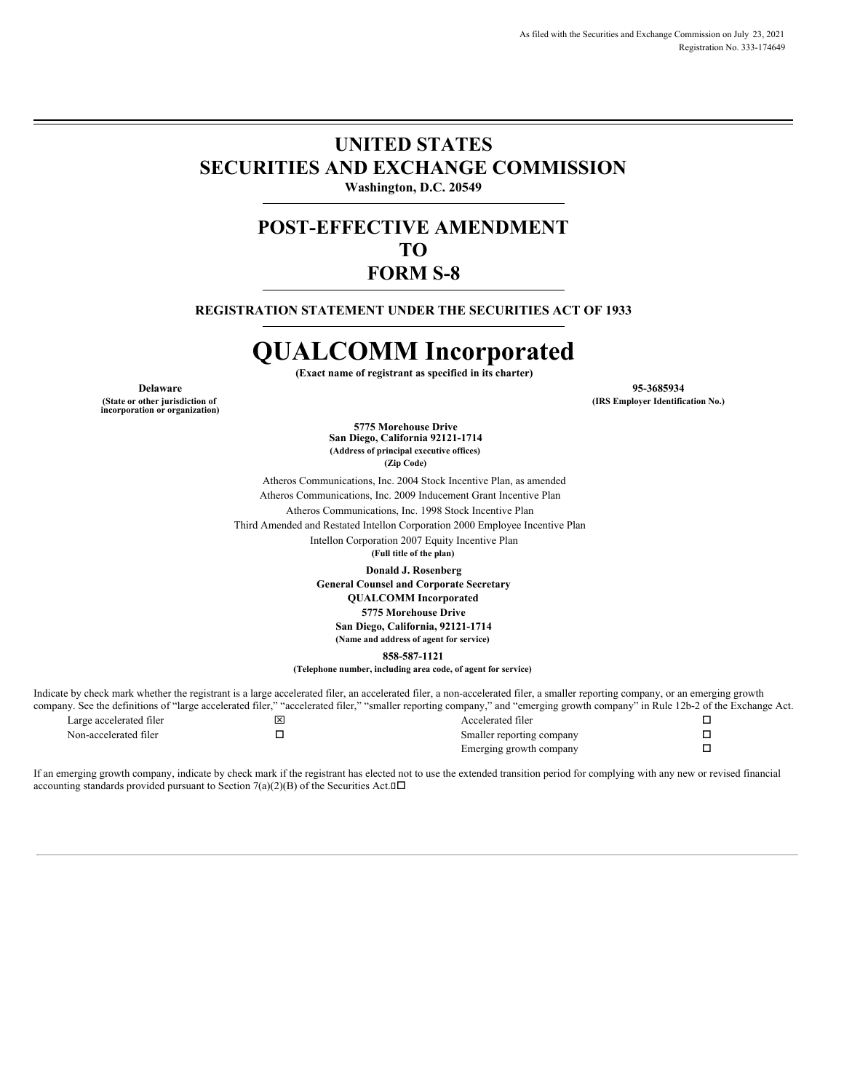### **UNITED STATES SECURITIES AND EXCHANGE COMMISSION Washington, D.C. 20549**

## **POST-EFFECTIVE AMENDMENT TO FORM S-8**

**REGISTRATION STATEMENT UNDER THE SECURITIES ACT OF 1933**

# **QUALCOMM Incorporated**

**(Exact name of registrant as specified in its charter)**

**(State or other jurisdiction of**

**incorporation or organization)**

**Delaware 95-3685934 (IRS Employer Identification No.)**

> **5775 Morehouse Drive San Diego, California 92121-1714 (Address of principal executive offices) (Zip Code)**

Atheros Communications, Inc. 2004 Stock Incentive Plan, as amended Atheros Communications, Inc. 2009 Inducement Grant Incentive Plan Atheros Communications, Inc. 1998 Stock Incentive Plan

Third Amended and Restated Intellon Corporation 2000 Employee Incentive Plan Intellon Corporation 2007 Equity Incentive Plan

**(Full title of the plan)**

**Donald J. Rosenberg**

**General Counsel and Corporate Secretary**

**QUALCOMM Incorporated**

**5775 Morehouse Drive**

**San Diego, California, 92121-1714**

**(Name and address of agent for service)**

**858-587-1121**

**(Telephone number, including area code, of agent for service)**

Indicate by check mark whether the registrant is a large accelerated filer, an accelerated filer, a non-accelerated filer, a smaller reporting company, or an emerging growth company. See the definitions of "large accelerated filer," "accelerated filer," "smaller reporting company," and "emerging growth company" in Rule 12b-2 of the Exchange Act. Large accelerated filer  $\Box$ Non-accelerated filer  $\square$ Emerging growth company  $\square$ 

If an emerging growth company, indicate by check mark if the registrant has elected not to use the extended transition period for complying with any new or revised financial accounting standards provided pursuant to Section 7(a)(2)(B) of the Securities Act. $\square \square$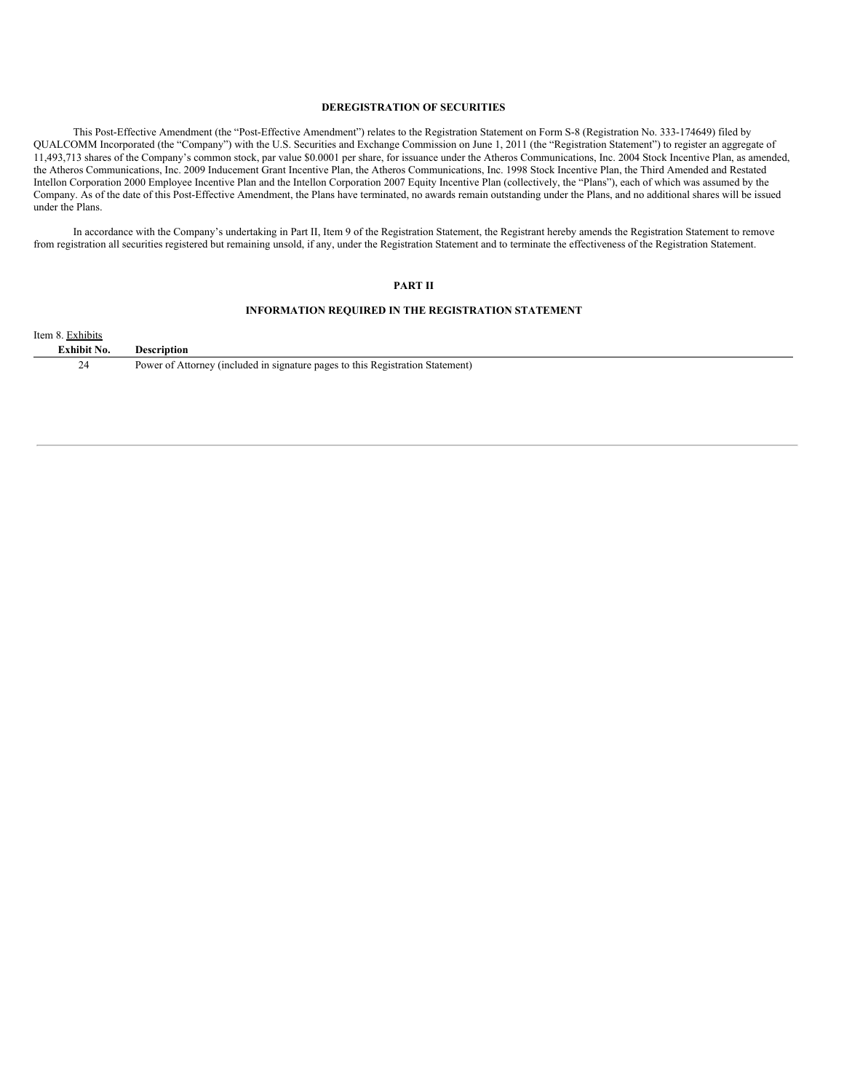#### **DEREGISTRATION OF SECURITIES**

This Post-Effective Amendment (the "Post-Effective Amendment") relates to the Registration Statement on Form S-8 (Registration No. 333-174649) filed by QUALCOMM Incorporated (the "Company") with the U.S. Securities and Exchange Commission on June 1, 2011 (the "Registration Statement") to register an aggregate of 11,493,713 shares of the Company's common stock, par value \$0.0001 per share, for issuance under the Atheros Communications, Inc. 2004 Stock Incentive Plan, as amended, the Atheros Communications, Inc. 2009 Inducement Grant Incentive Plan, the Atheros Communications, Inc. 1998 Stock Incentive Plan, the Third Amended and Restated Intellon Corporation 2000 Employee Incentive Plan and the Intellon Corporation 2007 Equity Incentive Plan (collectively, the "Plans"), each of which was assumed by the Company. As of the date of this Post-Effective Amendment, the Plans have terminated, no awards remain outstanding under the Plans, and no additional shares will be issued under the Plans.

In accordance with the Company's undertaking in Part II, Item 9 of the Registration Statement, the Registrant hereby amends the Registration Statement to remove from registration all securities registered but remaining unsold, if any, under the Registration Statement and to terminate the effectiveness of the Registration Statement.

#### **PART II**

#### **INFORMATION REQUIRED IN THE REGISTRATION STATEMENT**

| Item 8. Exhibits   |                                                                                |
|--------------------|--------------------------------------------------------------------------------|
| <b>Exhibit No.</b> | Description                                                                    |
| 24                 | Power of Attorney (included in signature pages to this Registration Statement) |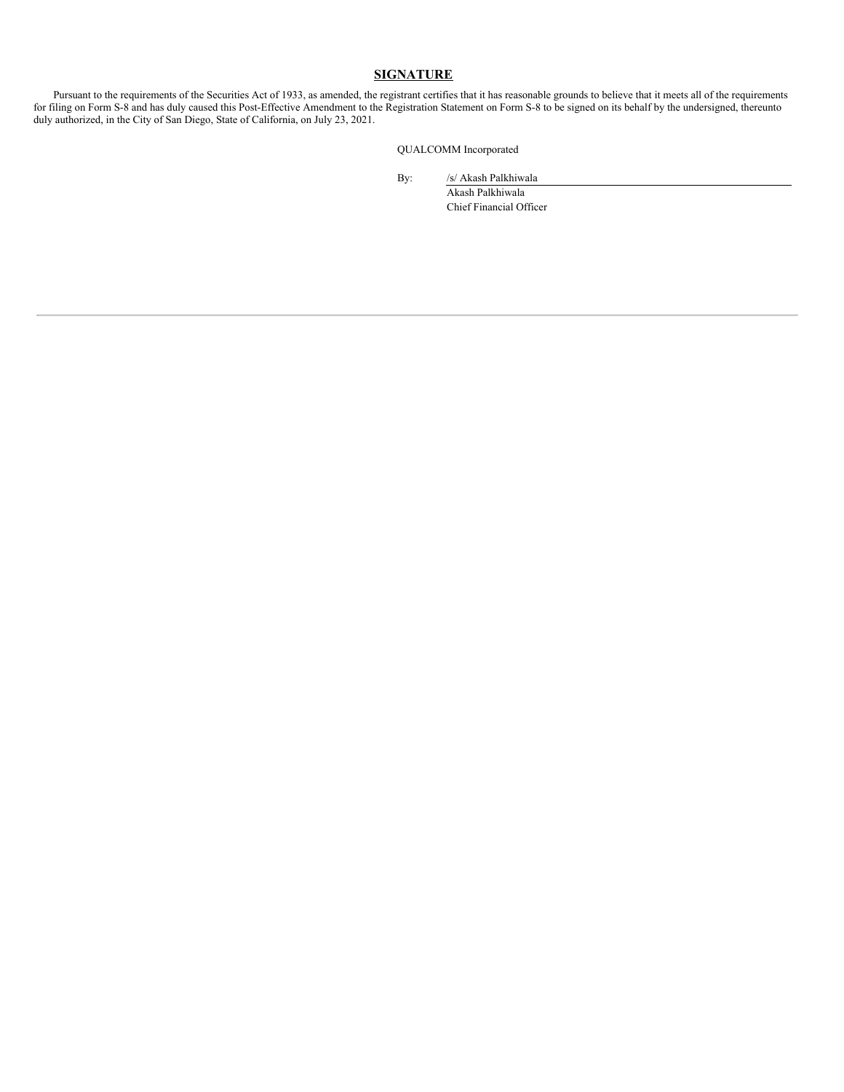#### **SIGNATURE**

Pursuant to the requirements of the Securities Act of 1933, as amended, the registrant certifies that it has reasonable grounds to believe that it meets all of the requirements for filing on Form S-8 and has duly caused this Post-Effective Amendment to the Registration Statement on Form S-8 to be signed on its behalf by the undersigned, thereunto duly authorized, in the City of San Diego, State of California, on July 23, 2021.

QUALCOMM Incorporated

By: /s/ Akash Palkhiwala

Akash Palkhiwala Chief Financial Officer